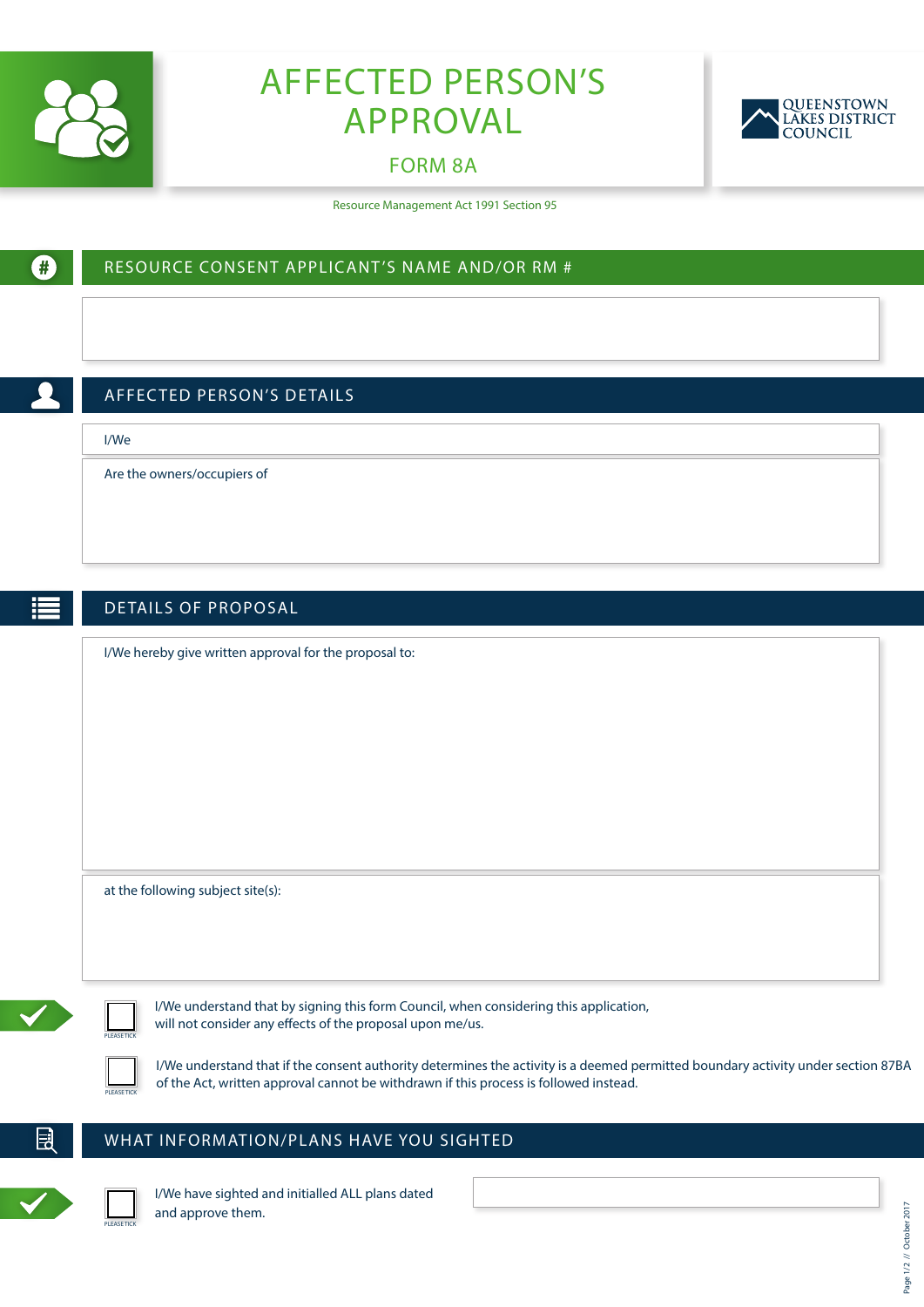

O

# AFFECTED PERSON'S APPROVAL

## FORM 8A

RESOURCE CONSENT APPLICANT'S NAME AND/OR RM #



Resource Management Act 1991 Section 95

|      | <b>AFFECTED PERSON'S DETAILS</b>                                                      |
|------|---------------------------------------------------------------------------------------|
| I/We |                                                                                       |
|      | Are the owners/occupiers of                                                           |
|      |                                                                                       |
|      |                                                                                       |
|      | DETAILS OF PROPOSAL                                                                   |
|      | I/We hereby give written approval for the proposal to:                                |
|      |                                                                                       |
|      |                                                                                       |
|      |                                                                                       |
|      |                                                                                       |
|      |                                                                                       |
|      |                                                                                       |
|      |                                                                                       |
|      | at the following subject site(s):                                                     |
|      |                                                                                       |
|      | I/We understand that by signing this form Council, when considering this application, |

#### WHAT INFORMATION/PLANS HAVE YOU SIGHTED



閚

I/We have sighted and initialled ALL plans dated and approve them.